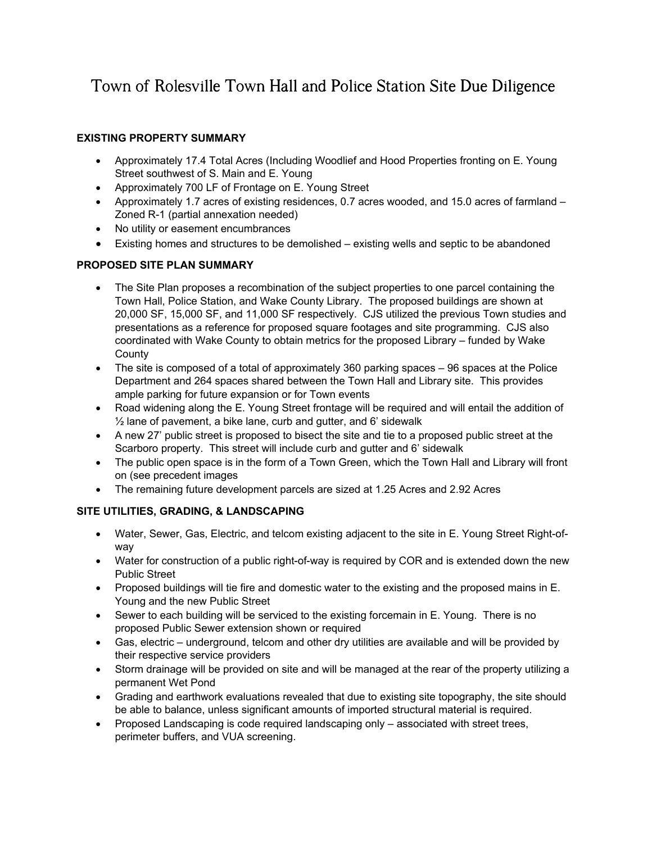# Town of Rolesville Town Hall and Police Station Site Due Diligence

# **EXISTING PROPERTY SUMMARY**

- Approximately 17.4 Total Acres (Including Woodlief and Hood Properties fronting on E. Young Street southwest of S. Main and E. Young
- Approximately 700 LF of Frontage on E. Young Street
- Approximately 1.7 acres of existing residences, 0.7 acres wooded, and 15.0 acres of farmland  $-$ Zoned R-1 (partial annexation needed)
- No utility or easement encumbrances
- Existing homes and structures to be demolished existing wells and septic to be abandoned

## **PROPOSED SITE PLAN SUMMARY**

- The Site Plan proposes a recombination of the subject properties to one parcel containing the Town Hall, Police Station, and Wake County Library. The proposed buildings are shown at 20,000 SF, 15,000 SF, and 11,000 SF respectively. CJS utilized the previous Town studies and presentations as a reference for proposed square footages and site programming. CJS also coordinated with Wake County to obtain metrics for the proposed Library – funded by Wake **County**
- The site is composed of a total of approximately 360 parking spaces 96 spaces at the Police Department and 264 spaces shared between the Town Hall and Library site. This provides ample parking for future expansion or for Town events
- Road widening along the E. Young Street frontage will be required and will entail the addition of  $\frac{1}{2}$  lane of pavement, a bike lane, curb and gutter, and 6' sidewalk
- A new 27' public street is proposed to bisect the site and tie to a proposed public street at the Scarboro property. This street will include curb and gutter and 6' sidewalk
- The public open space is in the form of a Town Green, which the Town Hall and Library will front on (see precedent images
- The remaining future development parcels are sized at 1.25 Acres and 2.92 Acres

# **SITE UTILITIES, GRADING, & LANDSCAPING**

- Water, Sewer, Gas, Electric, and telcom existing adjacent to the site in E. Young Street Right-ofway
- Water for construction of a public right-of-way is required by COR and is extended down the new Public Street
- Proposed buildings will tie fire and domestic water to the existing and the proposed mains in E. Young and the new Public Street
- Sewer to each building will be serviced to the existing forcemain in E. Young. There is no proposed Public Sewer extension shown or required
- Gas, electric underground, telcom and other dry utilities are available and will be provided by their respective service providers
- Storm drainage will be provided on site and will be managed at the rear of the property utilizing a permanent Wet Pond
- Grading and earthwork evaluations revealed that due to existing site topography, the site should be able to balance, unless significant amounts of imported structural material is required.
- Proposed Landscaping is code required landscaping only associated with street trees, perimeter buffers, and VUA screening.